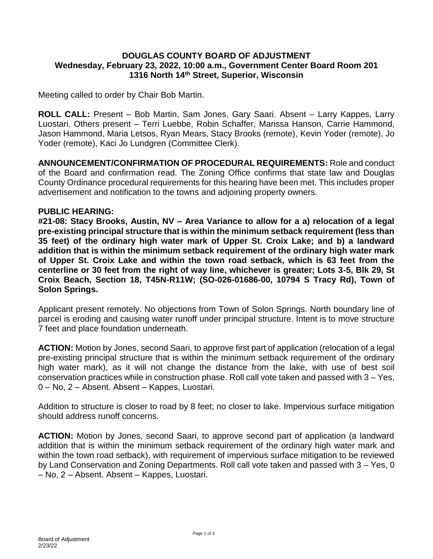## **DOUGLAS COUNTY BOARD OF ADJUSTMENT Wednesday, February 23, 2022, 10:00 a.m., Government Center Board Room 201 1316 North 14th Street, Superior, Wisconsin**

Meeting called to order by Chair Bob Martin.

**ROLL CALL:** Present – Bob Martin, Sam Jones, Gary Saari. Absent – Larry Kappes, Larry Luostari. Others present – Terri Luebbe, Robin Schaffer, Marissa Hanson, Carrie Hammond, Jason Hammond, Maria Letsos, Ryan Mears, Stacy Brooks (remote), Kevin Yoder (remote), Jo Yoder (remote), Kaci Jo Lundgren (Committee Clerk).

**ANNOUNCEMENT/CONFIRMATION OF PROCEDURAL REQUIREMENTS:** Role and conduct of the Board and confirmation read. The Zoning Office confirms that state law and Douglas County Ordinance procedural requirements for this hearing have been met. This includes proper advertisement and notification to the towns and adjoining property owners.

## **PUBLIC HEARING:**

**#21-08: Stacy Brooks, Austin, NV – Area Variance to allow for a a) relocation of a legal pre-existing principal structure that is within the minimum setback requirement (less than 35 feet) of the ordinary high water mark of Upper St. Croix Lake; and b) a landward addition that is within the minimum setback requirement of the ordinary high water mark of Upper St. Croix Lake and within the town road setback, which is 63 feet from the centerline or 30 feet from the right of way line, whichever is greater; Lots 3-5, Blk 29, St Croix Beach, Section 18, T45N-R11W; (SO-026-01686-00, 10794 S Tracy Rd), Town of Solon Springs.**

Applicant present remotely. No objections from Town of Solon Springs. North boundary line of parcel is eroding and causing water runoff under principal structure. Intent is to move structure 7 feet and place foundation underneath.

**ACTION:** Motion by Jones, second Saari, to approve first part of application (relocation of a legal pre-existing principal structure that is within the minimum setback requirement of the ordinary high water mark), as it will not change the distance from the lake, with use of best soil conservation practices while in construction phase. Roll call vote taken and passed with 3 – Yes, 0 – No, 2 – Absent. Absent – Kappes, Luostari.

Addition to structure is closer to road by 8 feet; no closer to lake. Impervious surface mitigation should address runoff concerns.

**ACTION:** Motion by Jones, second Saari, to approve second part of application (a landward addition that is within the minimum setback requirement of the ordinary high water mark and within the town road setback), with requirement of impervious surface mitigation to be reviewed by Land Conservation and Zoning Departments. Roll call vote taken and passed with 3 – Yes, 0 – No, 2 – Absent. Absent – Kappes, Luostari.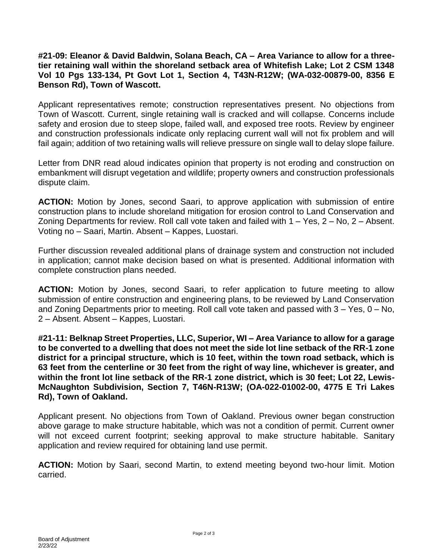**#21-09: Eleanor & David Baldwin, Solana Beach, CA – Area Variance to allow for a threetier retaining wall within the shoreland setback area of Whitefish Lake; Lot 2 CSM 1348 Vol 10 Pgs 133-134, Pt Govt Lot 1, Section 4, T43N-R12W; (WA-032-00879-00, 8356 E Benson Rd), Town of Wascott.**

Applicant representatives remote; construction representatives present. No objections from Town of Wascott. Current, single retaining wall is cracked and will collapse. Concerns include safety and erosion due to steep slope, failed wall, and exposed tree roots. Review by engineer and construction professionals indicate only replacing current wall will not fix problem and will fail again; addition of two retaining walls will relieve pressure on single wall to delay slope failure.

Letter from DNR read aloud indicates opinion that property is not eroding and construction on embankment will disrupt vegetation and wildlife; property owners and construction professionals dispute claim.

**ACTION:** Motion by Jones, second Saari, to approve application with submission of entire construction plans to include shoreland mitigation for erosion control to Land Conservation and Zoning Departments for review. Roll call vote taken and failed with 1 – Yes, 2 – No, 2 – Absent. Voting no – Saari, Martin. Absent – Kappes, Luostari.

Further discussion revealed additional plans of drainage system and construction not included in application; cannot make decision based on what is presented. Additional information with complete construction plans needed.

**ACTION:** Motion by Jones, second Saari, to refer application to future meeting to allow submission of entire construction and engineering plans, to be reviewed by Land Conservation and Zoning Departments prior to meeting. Roll call vote taken and passed with  $3 - Yes$ ,  $0 - No$ , 2 – Absent. Absent – Kappes, Luostari.

**#21-11: Belknap Street Properties, LLC, Superior, WI – Area Variance to allow for a garage to be converted to a dwelling that does not meet the side lot line setback of the RR-1 zone district for a principal structure, which is 10 feet, within the town road setback, which is 63 feet from the centerline or 30 feet from the right of way line, whichever is greater, and within the front lot line setback of the RR-1 zone district, which is 30 feet; Lot 22, Lewis-McNaughton Subdivision, Section 7, T46N-R13W; (OA-022-01002-00, 4775 E Tri Lakes Rd), Town of Oakland.**

Applicant present. No objections from Town of Oakland. Previous owner began construction above garage to make structure habitable, which was not a condition of permit. Current owner will not exceed current footprint; seeking approval to make structure habitable. Sanitary application and review required for obtaining land use permit.

**ACTION:** Motion by Saari, second Martin, to extend meeting beyond two-hour limit. Motion carried.